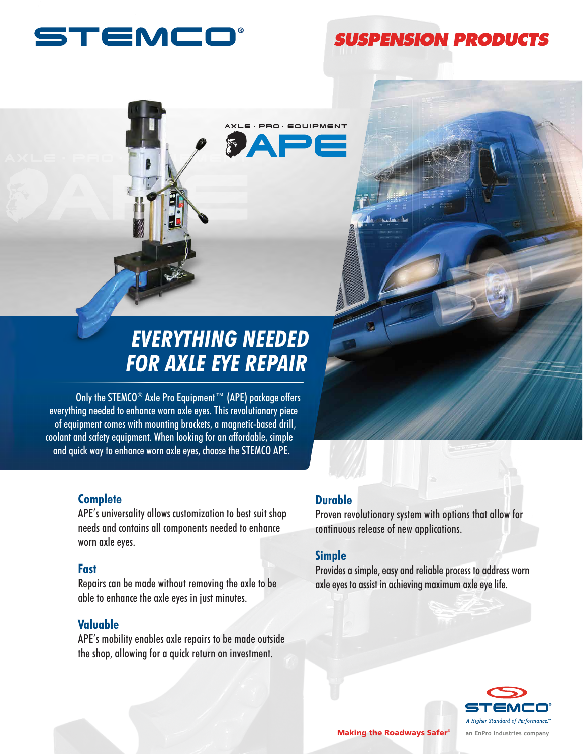

# **SUSPENSION PRODUCTS**



# *EVERYTHING NEEDED FOR AXLE EYE REPAIR*

Only the STEMCO<sup>®</sup> Axle Pro Equipment™ (APE) package offers everything needed to enhance worn axle eyes. This revolutionary piece of equipment comes with mounting brackets, a magnetic-based drill, coolant and safety equipment. When looking for an affordable, simple and quick way to enhance worn axle eyes, choose the STEMCO APE.

## **Complete**

APE's universality allows customization to best suit shop needs and contains all components needed to enhance worn axle eyes.

## **Fast**

Repairs can be made without removing the axle to be able to enhance the axle eyes in just minutes.

# **Valuable**

APE's mobility enables axle repairs to be made outside the shop, allowing for a quick return on investment.

# **Durable**

Proven revolutionary system with options that allow for continuous release of new applications.

# **Simple**

Provides a simple, easy and reliable process to address worn axle eyes to assist in achieving maximum axle eye life.



Making the Roadways Safer<sup>®</sup> an EnPro Industries company